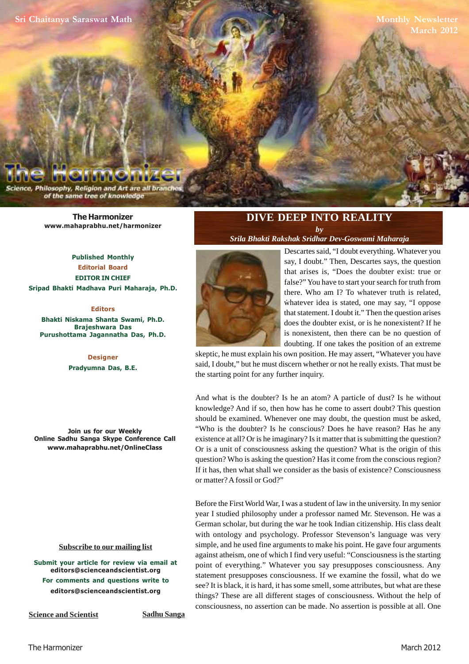**[Sri Chaitanya Saraswat Math](www.mahaprabhu.net/satsanga/harmonizer)**

**Monthly Newsletter March 2012**

Philosophy, Religion and Art are all bra of the same tree of knowledge

> **[The Harmonizer](www.mahaprabhu.net/satsanga/harmonizer) www.mahaprabhu.net/harmonizer**

**Published Monthly Editorial Board EDITOR IN CHIEF [Sripad Bhakti Madhava Puri Maharaja, Ph.D.](http://mahaprabhu.net/sadhusanga/blog1.php/2009/10/01/affectionate-guardians)**

#### **Editors**

**Bhakti Niskama Shanta Swami, Ph.D. Brajeshwara Das Purushottama Jagannatha Das, Ph.D.**

> **Designer Pradyumna Das, B.E.**

**Join us for our Weekly Online Sadhu Sanga Skype Conference Call www.mahaprabhu.net/OnlineClass**

#### **<u>Subscribe to our mailing list</u>**

**Submit your article for review via email at editors@scienceandscientist.org For comments and questions write to editors@scienceandscientist.org**

**Science and Scientist Sadhu Sanga** 

## **DIVE DEEP INTO REALITY** *by*

*[Srila Bhakti Rakshak Sridhar Dev-Goswami Maharaja](http://www.scsmath.com/docs/sridhar_maharaj.html)*



whatever idea is stated, one may say, "I oppose Descartes said, "I doubt everything. Whatever you say, I doubt." Then, Descartes says, the question that arises is, "Does the doubter exist: true or false?" You have to start your search for truth from there. Who am I? To whatever truth is related, that statement. I doubt it." Then the question arises does the doubter exist, or is he nonexistent? If he is nonexistent, then there can be no question of doubting. If one takes the position of an extreme

skeptic, he must explain his own position. He may assert, "Whatever you have said, I doubt," but he must discern whether or not he really exists. That must be the starting point for any further inquiry.

And what is the doubter? Is he an atom? A particle of dust? Is he without knowledge? And if so, then how has he come to assert doubt? This question should be examined. Whenever one may doubt, the question must be asked, "Who is the doubter? Is he conscious? Does he have reason? Has he any existence at all? Or is he imaginary? Is it matter that is submitting the question? Or is a unit of consciousness asking the question? What is the origin of this question? Who is asking the question? Has it come from the conscious region? If it has, then what shall we consider as the basis of existence? Consciousness or matter? A fossil or God?"

Before the First World War, I was a student of law in the university. In my senior year I studied philosophy under a professor named Mr. Stevenson. He was a German scholar, but during the war he took Indian citizenship. His class dealt with ontology and psychology. Professor Stevenson's language was very simple, and he used fine arguments to make his point. He gave four arguments against atheism, one of which I find very useful: "Consciousness is the starting point of everything." Whatever you say presupposes consciousness. Any statement presupposes consciousness. If we examine the fossil, what do we see? It is black, it is hard, it has some smell, some attributes, but what are these things? These are all different stages of consciousness. Without the help of consciousness, no assertion can be made. No assertion is possible at all. One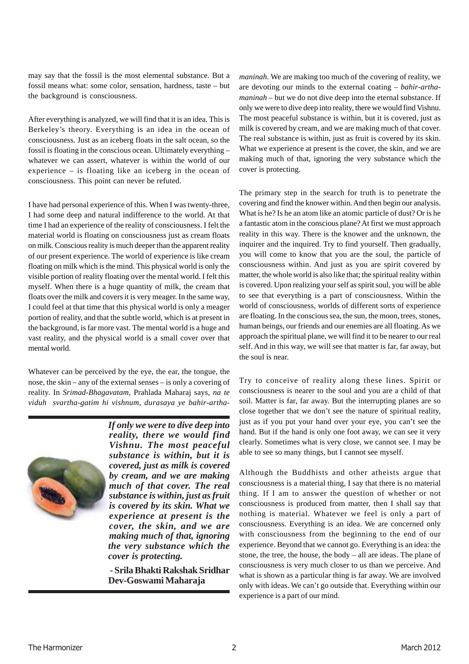may say that the fossil is the most elemental substance. But a fossil means what: some color, sensation, hardness, taste – but the background is consciousness.

After everything is analyzed, we will find that it is an idea. This is Berkeley's theory. Everything is an idea in the ocean of consciousness. Just as an iceberg floats in the salt ocean, so the fossil is floating in the conscious ocean. Ultimately everything – whatever we can assert, whatever is within the world of our experience – is floating like an iceberg in the ocean of consciousness. This point can never be refuted.

I have had personal experience of this. When I was twenty-three, I had some deep and natural indifference to the world. At that time I had an experience of the reality of consciousness. I felt the material world is floating on consciousness just as cream floats on milk. Conscious reality is much deeper than the apparent reality of our present experience. The world of experience is like cream floating on milk which is the mind. This physical world is only the visible portion of reality floating over the mental world. I felt this myself. When there is a huge quantity of milk, the cream that floats over the milk and covers it is very meager. In the same way, I could feel at that time that this physical world is only a meager portion of reality, and that the subtle world, which is at present in the background, is far more vast. The mental world is a huge and vast reality, and the physical world is a small cover over that mental world.

Whatever can be perceived by the eye, the ear, the tongue, the nose, the skin – any of the external senses – is only a covering of reality. In *Srimad-Bhagavatam,* Prahlada Maharaj says, *na te viduh svartha-gatim hi vishnum, durasaya ye bahir-artha-*



*If only we were to dive deep into reality, there we would find Vishnu. The most peaceful substance is within, but it is covered, just as milk is covered by cream, and we are making much of that cover. The real substance is within, just as fruit is covered by its skin. What we experience at present is the cover, the skin, and we are making much of that, ignoring the very substance which the cover is protecting.*

 **[- Srila Bhakti Rakshak Sridhar](http://www.scsmath.com/docs/sridhar_maharaj.html) Dev-Goswami Maharaja**

*maninah.* We are making too much of the covering of reality, we are devoting our minds to the external coating – *bahir-arthamaninah* – but we do not dive deep into the eternal substance. If only we were to dive deep into reality, there we would find Vishnu. The most peaceful substance is within, but it is covered, just as milk is covered by cream, and we are making much of that cover. The real substance is within, just as fruit is covered by its skin. What we experience at present is the cover, the skin, and we are making much of that, ignoring the very substance which the cover is protecting.

The primary step in the search for truth is to penetrate the covering and find the knower within. And then begin our analysis. What is he? Is he an atom like an atomic particle of dust? Or is he a fantastic atom in the conscious plane? At first we must approach reality in this way. There is the knower and the unknown, the inquirer and the inquired. Try to find yourself. Then gradually, you will come to know that you are the soul, the particle of consciousness within. And just as you are spirit covered by matter, the whole world is also like that; the spiritual reality within is covered. Upon realizing your self as spirit soul, you will be able to see that everything is a part of consciousness. Within the world of consciousness, worlds of different sorts of experience are floating. In the conscious sea, the sun, the moon, trees, stones, human beings, our friends and our enemies are all floating. As we approach the spiritual plane, we will find it to be nearer to our real self. And in this way, we will see that matter is far, far away, but the soul is near.

Try to conceive of reality along these lines. Spirit or consciousness is nearer to the soul and you are a child of that soil. Matter is far, far away. But the interrupting planes are so close together that we don't see the nature of spiritual reality, just as if you put your hand over your eye, you can't see the hand. But if the hand is only one foot away, we can see it very clearly. Sometimes what is very close, we cannot see. I may be able to see so many things, but I cannot see myself.

Although the Buddhists and other atheists argue that consciousness is a material thing, I say that there is no material thing. If I am to answer the question of whether or not consciousness is produced from matter, then I shall say that nothing is material. Whatever we feel is only a part of consciousness. Everything is an idea. We are concerned only with consciousness from the beginning to the end of our experience. Beyond that we cannot go. Everything is an idea: the stone, the tree, the house, the body – all are ideas. The plane of consciousness is very much closer to us than we perceive. And what is shown as a particular thing is far away. We are involved only with ideas. We can't go outside that. Everything within our experience is a part of our mind.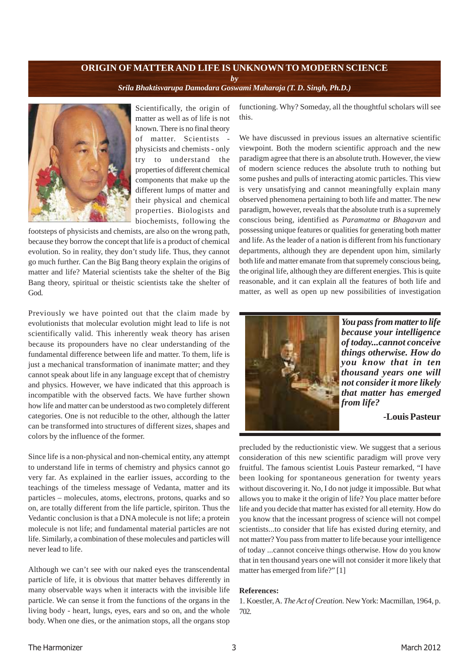#### **ORIGIN OF MATTER AND LIFE IS UNKNOWN TO MODERN SCIENCE** *by [Srila Bhaktisvarupa Damodara Goswami Maharaja \(T. D. Singh, Ph.D.\)](http://mahaprabhu.net/sadhusanga/blog1.php/2009/10/01/affectionate-guardians)*



Scientifically, the origin of matter as well as of life is not known. There is no final theory of matter. Scientists physicists and chemists - only try to understand the properties of different chemical components that make up the different lumps of matter and their physical and chemical properties. Biologists and biochemists, following the

footsteps of physicists and chemists, are also on the wrong path, because they borrow the concept that life is a product of chemical evolution. So in reality, they don't study life. Thus, they cannot go much further. Can the Big Bang theory explain the origins of matter and life? Material scientists take the shelter of the Big Bang theory, spiritual or theistic scientists take the shelter of God.

Previously we have pointed out that the claim made by evolutionists that molecular evolution might lead to life is not scientifically valid. This inherently weak theory has arisen because its propounders have no clear understanding of the fundamental difference between life and matter. To them, life is just a mechanical transformation of inanimate matter; and they cannot speak about life in any language except that of chemistry and physics. However, we have indicated that this approach is incompatible with the observed facts. We have further shown how life and matter can be understood as two completely different categories. One is not reducible to the other, although the latter can be transformed into structures of different sizes, shapes and colors by the influence of the former.

Since life is a non-physical and non-chemical entity, any attempt to understand life in terms of chemistry and physics cannot go very far. As explained in the earlier issues, according to the teachings of the timeless message of Vedanta, matter and its particles – molecules, atoms, electrons, protons, quarks and so on, are totally different from the life particle, spiriton. Thus the Vedantic conclusion is that a DNA molecule is not life; a protein molecule is not life; and fundamental material particles are not life. Similarly, a combination of these molecules and particles will never lead to life.

Although we can't see with our naked eyes the transcendental particle of life, it is obvious that matter behaves differently in many observable ways when it interacts with the invisible life particle. We can sense it from the functions of the organs in the living body - heart, lungs, eyes, ears and so on, and the whole body. When one dies, or the animation stops, all the organs stop functioning. Why? Someday, all the thoughtful scholars will see this.

We have discussed in previous issues an alternative scientific viewpoint. Both the modern scientific approach and the new paradigm agree that there is an absolute truth. However, the view of modern science reduces the absolute truth to nothing but some pushes and pulls of interacting atomic particles. This view is very unsatisfying and cannot meaningfully explain many observed phenomena pertaining to both life and matter. The new paradigm, however, reveals that the absolute truth is a supremely conscious being, identified as *Paramatma* or *Bhagavan* and possessing unique features or qualities for generating both matter and life. As the leader of a nation is different from his functionary departments, although they are dependent upon him, similarly both life and matter emanate from that supremely conscious being, the original life, although they are different energies. This is quite reasonable, and it can explain all the features of both life and matter, as well as open up new possibilities of investigation



*You pass from matter to life because your intelligence of today...cannot conceive things otherwise. How do you know that in ten thousand years one will not consider it more likely that matter has emerged from life?*

#### **-Louis Pasteur**

precluded by the reductionistic view. We suggest that a serious consideration of this new scientific paradigm will prove very fruitful. The famous scientist Louis Pasteur remarked, "I have been looking for spontaneous generation for twenty years without discovering it. No, I do not judge it impossible. But what allows you to make it the origin of life? You place matter before life and you decide that matter has existed for all eternity. How do you know that the incessant progress of science will not compel scientists...to consider that life has existed during eternity, and not matter? You pass from matter to life because your intelligence of today ...cannot conceive things otherwise. How do you know that in ten thousand years one will not consider it more likely that matter has emerged from life?" [1]

#### **References:**

1. Koestler, A. *The Act of Creation.* New York: Macmillan, 1964, p. 702.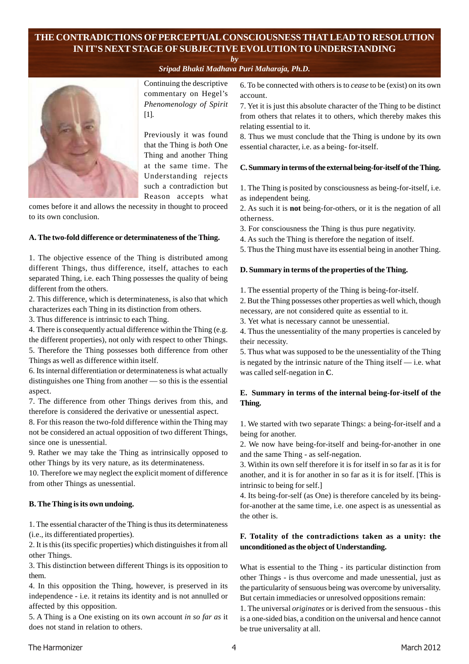# **THE CONTRADICTIONS OF PERCEPTUAL CONSCIOUSNESS THAT LEAD TO RESOLUTION IN IT'S NEXT STAGE OF SUBJECTIVE EVOLUTION TO UNDERSTANDING**

*by*

*[Sripad Bhakti Madhava Puri Maharaja, Ph.D.](http://mahaprabhu.net/sadhusanga/blog1.php/2009/10/01/affectionate-guardians)*



Continuing the descriptive commentary on Hegel's *Phenomenology of Spirit* [1].

Previously it was found that the Thing is *both* One Thing and another Thing at the same time. The Understanding rejects such a contradiction but Reason accepts what

comes before it and allows the necessity in thought to proceed to its own conclusion.

#### **A. The two-fold difference or determinateness of the Thing.**

1. The objective essence of the Thing is distributed among different Things, thus difference, itself, attaches to each separated Thing, i.e. each Thing possesses the quality of being different from the others.

2. This difference, which is determinateness, is also that which characterizes each Thing in its distinction from others.

3. Thus difference is intrinsic to each Thing.

4. There is consequently actual difference within the Thing (e.g. the different properties), not only with respect to other Things.

5. Therefore the Thing possesses both difference from other Things as well as difference within itself.

6. Its internal differentiation or determinateness is what actually distinguishes one Thing from another — so this is the essential aspect.

7. The difference from other Things derives from this, and therefore is considered the derivative or unessential aspect.

8. For this reason the two-fold difference within the Thing may not be considered an actual opposition of two different Things, since one is unessential.

9. Rather we may take the Thing as intrinsically opposed to other Things by its very nature, as its determinateness.

10. Therefore we may neglect the explicit moment of difference from other Things as unessential.

#### **B. The Thing is its own undoing.**

1. The essential character of the Thing is thus its determinateness (i.e., its differentiated properties).

2. It is this (its specific properties) which distinguishes it from all other Things.

3. This distinction between different Things is its opposition to them.

4. In this opposition the Thing, however, is preserved in its independence - i.e. it retains its identity and is not annulled or affected by this opposition.

5. A Thing is a One existing on its own account *in so far as* it does not stand in relation to others.

6. To be connected with others is to *cease* to be (exist) on its own account.

7. Yet it is just this absolute character of the Thing to be distinct from others that relates it to others, which thereby makes this relating essential to it.

8. Thus we must conclude that the Thing is undone by its own essential character, i.e. as a being- for-itself.

#### **C. Summary in terms of the external being-for-itself of the Thing.**

1. The Thing is posited by consciousness as being-for-itself, i.e. as independent being.

2. As such it is **not** being-for-others, or it is the negation of all otherness.

3. For consciousness the Thing is thus pure negativity.

4. As such the Thing is therefore the negation of itself.

5. Thus the Thing must have its essential being in another Thing.

#### **D. Summary in terms of the properties of the Thing.**

1. The essential property of the Thing is being-for-itself.

2. But the Thing possesses other properties as well which, though necessary, are not considered quite as essential to it.

3. Yet what is necessary cannot be unessential.

4. Thus the unessentiality of the many properties is canceled by their necessity.

5. Thus what was supposed to be the unessentiality of the Thing is negated by the intrinsic nature of the Thing itself  $-$  i.e. what was called self-negation in **C**.

### **E. Summary in terms of the internal being-for-itself of the Thing.**

1. We started with two separate Things: a being-for-itself and a being for another.

2. We now have being-for-itself and being-for-another in one and the same Thing - as self-negation.

3. Within its own self therefore it is for itself in so far as it is for another, and it is for another in so far as it is for itself. [This is intrinsic to being for self.]

4. Its being-for-self (as One) is therefore canceled by its beingfor-another at the same time, i.e. one aspect is as unessential as the other is.

#### **F. Totality of the contradictions taken as a unity: the unconditioned as the object of Understanding.**

What is essential to the Thing - its particular distinction from other Things - is thus overcome and made unessential, just as the particularity of sensuous being was overcome by universality. But certain immediacies or unresolved oppositions remain:

1. The universal *originates* or is derived from the sensuous - this is a one-sided bias, a condition on the universal and hence cannot be true universality at all.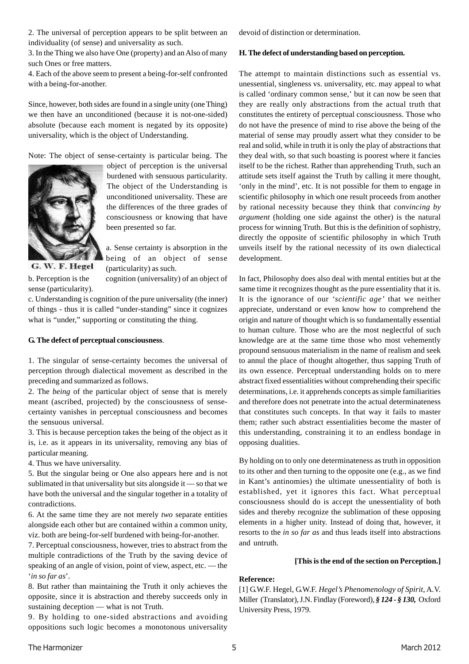2. The universal of perception appears to be split between an individuality (of sense) and universality as such.

3. In the Thing we also have One (property) and an Also of many such Ones or free matters.

4. Each of the above seem to present a being-for-self confronted with a being-for-another.

Since, however, both sides are found in a single unity (one Thing) we then have an unconditioned (because it is not-one-sided) absolute (because each moment is negated by its opposite) universality, which is the object of Understanding.

Note: The object of sense-certainty is particular being. The



object of perception is the universal burdened with sensuous particularity. The object of the Understanding is unconditioned universality. These are the differences of the three grades of consciousness or knowing that have been presented so far.

a. Sense certainty is absorption in the being of an object of sense (particularity) as such.

b. Perception is the cognition (universality) of an object of sense (particularity).

G. W. F. Hegel

c. Understanding is cognition of the pure universality (the inner)

of things - thus it is called "under-standing" since it cognizes what is "under," supporting or constituting the thing.

#### **G. The defect of perceptual consciousness**.

1. The singular of sense-certainty becomes the universal of perception through dialectical movement as described in the preceding and summarized as follows.

2. The *being* of the particular object of sense that is merely meant (ascribed, projected) by the consciousness of sensecertainty vanishes in perceptual consciousness and becomes the sensuous universal.

3. This is because perception takes the being of the object as it is, i.e. as it appears in its universality, removing any bias of particular meaning.

4. Thus we have universality.

5. But the singular being or One also appears here and is not sublimated in that universality but sits alongside it — so that we have both the universal and the singular together in a totality of contradictions.

6. At the same time they are not merely *two* separate entities alongside each other but are contained within a common unity, viz. both are being-for-self burdened with being-for-another.

7. Perceptual consciousness, however, tries to abstract from the multiple contradictions of the Truth by the saving device of speaking of an angle of vision, point of view, aspect, etc. — the '*in so far as*'.

8. But rather than maintaining the Truth it only achieves the opposite, since it is abstraction and thereby succeeds only in sustaining deception — what is not Truth.

9. By holding to one-sided abstractions and avoiding oppositions such logic becomes a monotonous universality devoid of distinction or determination.

#### **H. The defect of understanding based on perception.**

The attempt to maintain distinctions such as essential vs. unessential, singleness vs. universality, etc. may appeal to what is called 'ordinary common sense,' but it can now be seen that they are really only abstractions from the actual truth that constitutes the entirety of perceptual consciousness. Those who do not have the presence of mind to rise above the being of the material of sense may proudly assert what they consider to be real and solid, while in truth it is only the play of abstractions that they deal with, so that such boasting is poorest where it fancies itself to be the richest. Rather than apprehending Truth, such an attitude sets itself against the Truth by calling it mere thought, 'only in the mind', etc. It is not possible for them to engage in scientific philosophy in which one result proceeds from another by rational necessity because they think that *convincing by argument* (holding one side against the other) is the natural process for winning Truth. But this is the definition of sophistry, directly the opposite of scientific philosophy in which Truth unveils itself by the rational necessity of its own dialectical development.

In fact, Philosophy does also deal with mental entities but at the same time it recognizes thought as the pure essentiality that it is. It is the ignorance of our *'scientific age'* that we neither appreciate, understand or even know how to comprehend the origin and nature of thought which is so fundamentally essential to human culture. Those who are the most neglectful of such knowledge are at the same time those who most vehemently propound sensuous materialism in the name of realism and seek to annul the place of thought altogether, thus sapping Truth of its own essence. Perceptual understanding holds on to mere abstract fixed essentialities without comprehending their specific determinations, i.e. it apprehends concepts as simple familiarities and therefore does not penetrate into the actual determinateness that constitutes such concepts. In that way it fails to master them; rather such abstract essentialities become the master of this understanding, constraining it to an endless bondage in opposing dualities.

By holding on to only one determinateness as truth in opposition to its other and then turning to the opposite one (e.g., as we find in Kant's antinomies) the ultimate unessentiality of both is established, yet it ignores this fact. What perceptual consciousness should do is accept the unessentiality of both sides and thereby recognize the sublimation of these opposing elements in a higher unity. Instead of doing that, however, it resorts to the *in so far as* and thus leads itself into abstractions and untruth.

#### **[This is the end of the section on Perception.]**

#### **Reference:**

[1] G.W.F. Hegel, G.W.F. *Hegel's Phenomenology of Spirit*, A.V. Miller (Translator), J.N. Findlay (Foreword), *§ 124 - § 130,* Oxford University Press, 1979.